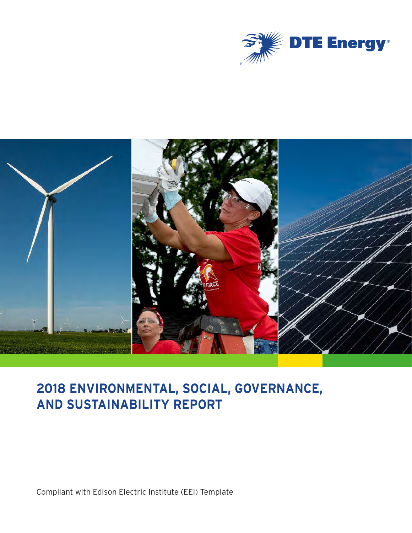



# **2018 ENVIRONMENTAL, SOCIAL, GOVERNANCE, AND SUSTAINABILITY REPORT**

Compliant with Edison Electric Institute (EEI) Template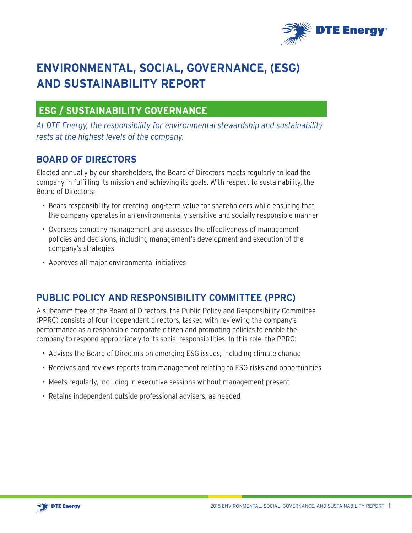

# **ENVIRONMENTAL, SOCIAL, GOVERNANCE, (ESG) AND SUSTAINABILITY REPORT**

## **ESG / SUSTAINABILITY GOVERNANCE**

*At DTE Energy, the responsibility for environmental stewardship and sustainability rests at the highest levels of the company.*

## **BOARD OF DIRECTORS**

Elected annually by our shareholders, the Board of Directors meets regularly to lead the company in fulfilling its mission and achieving its goals. With respect to sustainability, the Board of Directors:

- Bears responsibility for creating long-term value for shareholders while ensuring that the company operates in an environmentally sensitive and socially responsible manner
- Oversees company management and assesses the effectiveness of management policies and decisions, including management's development and execution of the company's strategies
- Approves all major environmental initiatives

## **PUBLIC POLICY AND RESPONSIBILITY COMMITTEE (PPRC)**

A subcommittee of the Board of Directors, the Public Policy and Responsibility Committee (PPRC) consists of four independent directors, tasked with reviewing the company's performance as a responsible corporate citizen and promoting policies to enable the company to respond appropriately to its social responsibilities. In this role, the PPRC:

- Advises the Board of Directors on emerging ESG issues, including climate change
- Receives and reviews reports from management relating to ESG risks and opportunities
- Meets regularly, including in executive sessions without management present
- Retains independent outside professional advisers, as needed

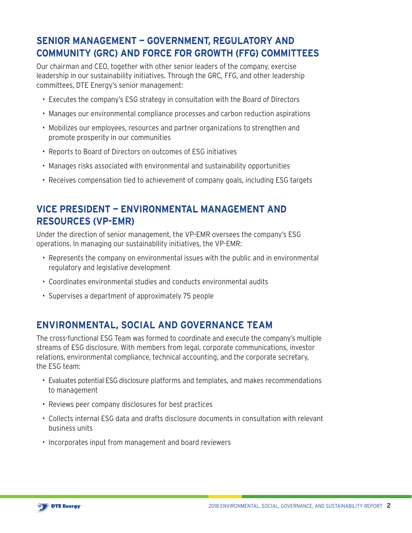## **SENIOR MANAGEMENT — GOVERNMENT, REGULATORY AND COMMUNITY (GRC) AND FORCE FOR GROWTH (FFG) COMMITTEES**

Our chairman and CEO, together with other senior leaders of the company, exercise leadership in our sustainability initiatives. Through the GRC, FFG, and other leadership committees, DTE Energy's senior management:

- Executes the company's ESG strategy in consultation with the Board of Directors
- Manages our environmental compliance processes and carbon reduction aspirations
- Mobilizes our employees, resources and partner organizations to strengthen and promote prosperity in our communities
- Reports to Board of Directors on outcomes of ESG initiatives
- Manages risks associated with environmental and sustainability opportunities
- Receives compensation tied to achievement of company goals, including ESG targets

## **VICE PRESIDENT — ENVIRONMENTAL MANAGEMENT AND RESOURCES (VP-EMR)**

Under the direction of senior management, the VP-EMR oversees the company's ESG operations. In managing our sustainability initiatives, the VP-EMR:

- Represents the company on environmental issues with the public and in environmental regulatory and legislative development
- Coordinates environmental studies and conducts environmental audits
- Supervises a department of approximately 75 people

## **ENVIRONMENTAL, SOCIAL AND GOVERNANCE TEAM**

The cross-functional ESG Team was formed to coordinate and execute the company's multiple streams of ESG disclosure. With members from legal, corporate communications, investor relations, environmental compliance, technical accounting, and the corporate secretary, the ESG team:

- Evaluates potential ESG disclosure platforms and templates, and makes recommendations to management
- Reviews peer company disclosures for best practices
- Collects internal ESG data and drafts disclosure documents in consultation with relevant business units
- Incorporates input from management and board reviewers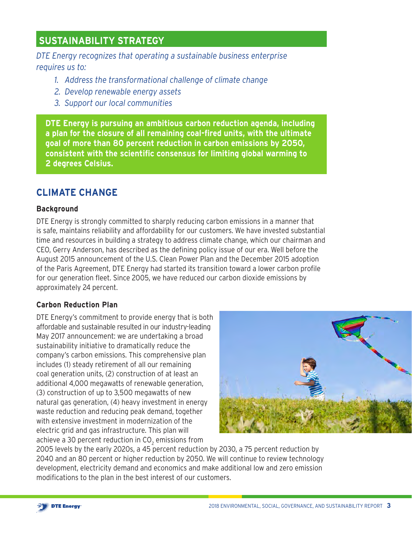## **SUSTAINABILITY STRATEGY**

*DTE Energy recognizes that operating a sustainable business enterprise requires us to:*

- *1. Address the transformational challenge of climate change*
- *2. Develop renewable energy assets*
- *3. Support our local communities*

**DTE Energy is pursuing an ambitious carbon reduction agenda, including a plan for the closure of all remaining coal-fired units, with the ultimate goal of more than 80 percent reduction in carbon emissions by 2050, consistent with the scientific consensus for limiting global warming to 2 degrees Celsius.** 

## **CLIMATE CHANGE**

#### **Background**

DTE Energy is strongly committed to sharply reducing carbon emissions in a manner that is safe, maintains reliability and affordability for our customers. We have invested substantial time and resources in building a strategy to address climate change, which our chairman and CEO, Gerry Anderson, has described as the defining policy issue of our era. Well before the August 2015 announcement of the U.S. Clean Power Plan and the December 2015 adoption of the Paris Agreement, DTE Energy had started its transition toward a lower carbon profile for our generation fleet. Since 2005, we have reduced our carbon dioxide emissions by approximately 24 percent.

#### **Carbon Reduction Plan**

DTE Energy's commitment to provide energy that is both affordable and sustainable resulted in our industry-leading May 2017 announcement: we are undertaking a broad sustainability initiative to dramatically reduce the company's carbon emissions. This comprehensive plan includes (1) steady retirement of all our remaining coal generation units, (2) construction of at least an additional 4,000 megawatts of renewable generation, (3) construction of up to 3,500 megawatts of new natural gas generation, (4) heavy investment in energy waste reduction and reducing peak demand, together with extensive investment in modernization of the electric grid and gas infrastructure. This plan will achieve a 30 percent reduction in CO $_{_2}$  emissions from  $\,$ 



2005 levels by the early 2020s, a 45 percent reduction by 2030, a 75 percent reduction by 2040 and an 80 percent or higher reduction by 2050. We will continue to review technology development, electricity demand and economics and make additional low and zero emission modifications to the plan in the best interest of our customers.

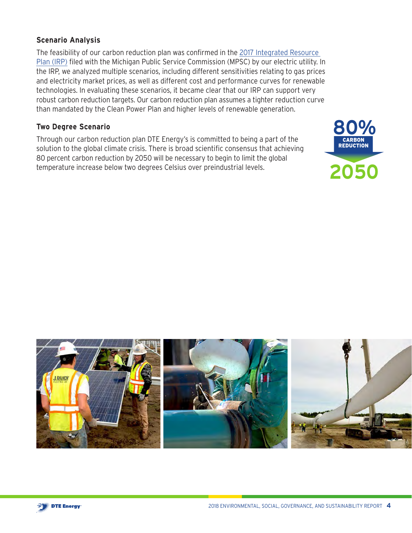## **Scenario Analysis**

The feasibility of our carbon reduction plan was confirmed in the [2017 Integrated Resource](https://mi-psc.force.com/sfc/servlet.shepherd/version/download/068t0000001UYjT)  [Plan \(IRP\)](https://mi-psc.force.com/sfc/servlet.shepherd/version/download/068t0000001UYjT) filed with the Michigan Public Service Commission (MPSC) by our electric utility. In the IRP, we analyzed multiple scenarios, including different sensitivities relating to gas prices and electricity market prices, as well as different cost and performance curves for renewable technologies. In evaluating these scenarios, it became clear that our IRP can support very robust carbon reduction targets. Our carbon reduction plan assumes a tighter reduction curve than mandated by the Clean Power Plan and higher levels of renewable generation.

#### **Two Degree Scenario**

Through our carbon reduction plan DTE Energy's is committed to being a part of the solution to the global climate crisis. There is broad scientific consensus that achieving 80 percent carbon reduction by 2050 will be necessary to begin to limit the global temperature increase below two degrees Celsius over preindustrial levels.





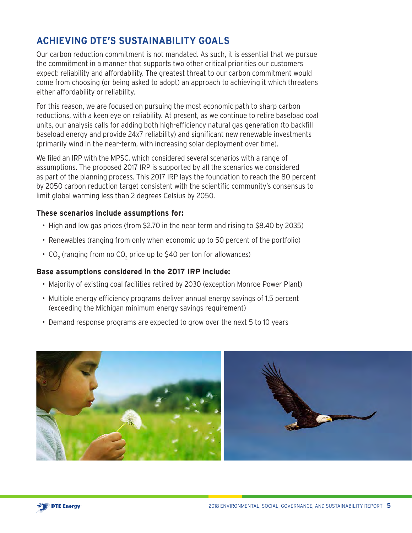## **ACHIEVING DTE'S SUSTAINABILITY GOALS**

Our carbon reduction commitment is not mandated. As such, it is essential that we pursue the commitment in a manner that supports two other critical priorities our customers expect: reliability and affordability. The greatest threat to our carbon commitment would come from choosing (or being asked to adopt) an approach to achieving it which threatens either affordability or reliability.

For this reason, we are focused on pursuing the most economic path to sharp carbon reductions, with a keen eye on reliability. At present, as we continue to retire baseload coal units, our analysis calls for adding both high-efficiency natural gas generation (to backfill baseload energy and provide 24x7 reliability) and significant new renewable investments (primarily wind in the near-term, with increasing solar deployment over time).

We filed an IRP with the MPSC, which considered several scenarios with a range of assumptions. The proposed 2017 IRP is supported by all the scenarios we considered as part of the planning process. This 2017 IRP lays the foundation to reach the 80 percent by 2050 carbon reduction target consistent with the scientific community's consensus to limit global warming less than 2 degrees Celsius by 2050.

#### **These scenarios include assumptions for:**

- High and low gas prices (from \$2.70 in the near term and rising to \$8.40 by 2035)
- Renewables (ranging from only when economic up to 50 percent of the portfolio)
- CO $_{_{2}}$  (ranging from no CO $_{_{2}}$  price up to \$40 per ton for allowances)

#### **Base assumptions considered in the 2017 IRP include:**

- Majority of existing coal facilities retired by 2030 (exception Monroe Power Plant)
- Multiple energy efficiency programs deliver annual energy savings of 1.5 percent (exceeding the Michigan minimum energy savings requirement)
- Demand response programs are expected to grow over the next 5 to 10 years

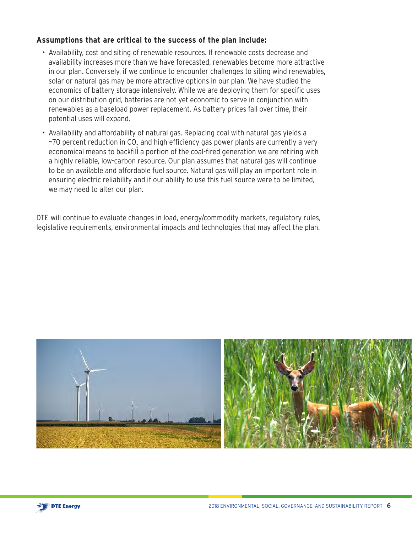#### **Assumptions that are critical to the success of the plan include:**

- Availability, cost and siting of renewable resources. If renewable costs decrease and availability increases more than we have forecasted, renewables become more attractive in our plan. Conversely, if we continue to encounter challenges to siting wind renewables, solar or natural gas may be more attractive options in our plan. We have studied the economics of battery storage intensively. While we are deploying them for specific uses on our distribution grid, batteries are not yet economic to serve in conjunction with renewables as a baseload power replacement. As battery prices fall over time, their potential uses will expand.
- Availability and affordability of natural gas. Replacing coal with natural gas yields a ~70 percent reduction in CO<sub>2</sub> and high efficiency gas power plants are currently a very economical means to backfill a portion of the coal-fired generation we are retiring with a highly reliable, low-carbon resource. Our plan assumes that natural gas will continue to be an available and affordable fuel source. Natural gas will play an important role in ensuring electric reliability and if our ability to use this fuel source were to be limited, we may need to alter our plan.

DTE will continue to evaluate changes in load, energy/commodity markets, regulatory rules, legislative requirements, environmental impacts and technologies that may affect the plan.



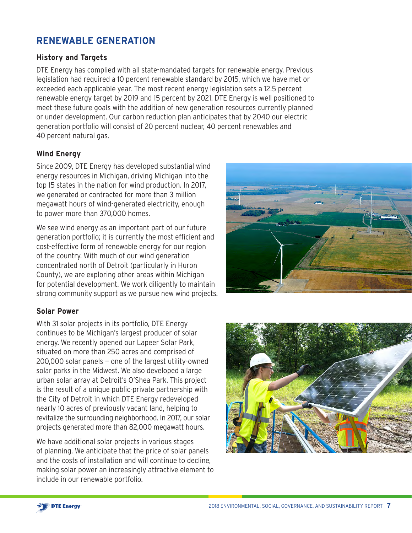## **RENEWABLE GENERATION**

## **History and Targets**

DTE Energy has complied with all state-mandated targets for renewable energy. Previous legislation had required a 10 percent renewable standard by 2015, which we have met or exceeded each applicable year. The most recent energy legislation sets a 12.5 percent renewable energy target by 2019 and 15 percent by 2021. DTE Energy is well positioned to meet these future goals with the addition of new generation resources currently planned or under development. Our carbon reduction plan anticipates that by 2040 our electric generation portfolio will consist of 20 percent nuclear, 40 percent renewables and 40 percent natural gas.

## **Wind Energy**

Since 2009, DTE Energy has developed substantial wind energy resources in Michigan, driving Michigan into the top 15 states in the nation for wind production. In 2017, we generated or contracted for more than 3 million megawatt hours of wind-generated electricity, enough to power more than 370,000 homes.

We see wind energy as an important part of our future generation portfolio; it is currently the most efficient and cost-effective form of renewable energy for our region of the country. With much of our wind generation concentrated north of Detroit (particularly in Huron County), we are exploring other areas within Michigan for potential development. We work diligently to maintain strong community support as we pursue new wind projects.



## **Solar Power**

With 31 solar projects in its portfolio, DTE Energy continues to be Michigan's largest producer of solar energy. We recently opened our Lapeer Solar Park, situated on more than 250 acres and comprised of 200,000 solar panels — one of the largest utility-owned solar parks in the Midwest. We also developed a large urban solar array at Detroit's O'Shea Park. This project is the result of a unique public-private partnership with the City of Detroit in which DTE Energy redeveloped nearly 10 acres of previously vacant land, helping to revitalize the surrounding neighborhood. In 2017, our solar projects generated more than 82,000 megawatt hours.

We have additional solar projects in various stages of planning. We anticipate that the price of solar panels and the costs of installation and will continue to decline, making solar power an increasingly attractive element to include in our renewable portfolio.

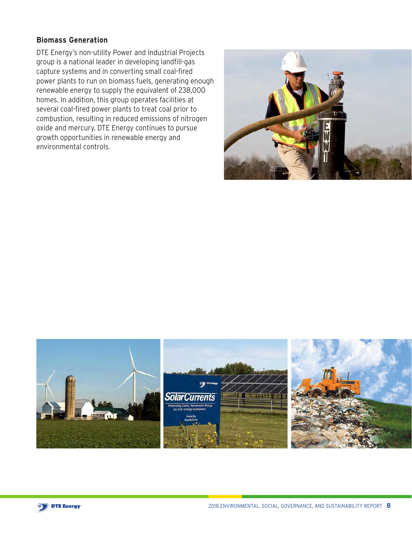#### **Biomass Generation**

DTE Energy's non-utility Power and Industrial Projects group is a national leader in developing landfill-gas capture systems and in converting small coal-fired power plants to run on biomass fuels, generating enough renewable energy to supply the equivalent of 238,000 homes. In addition, this group operates facilities at several coal-fired power plants to treat coal prior to combustion, resulting in reduced emissions of nitrogen oxide and mercury. DTE Energy continues to pursue growth opportunities in renewable energy and environmental controls.





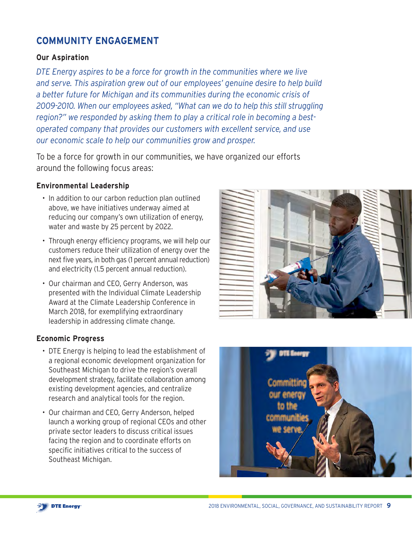## **COMMUNITY ENGAGEMENT**

#### **Our Aspiration**

*DTE Energy aspires to be a force for growth in the communities where we live and serve. This aspiration grew out of our employees' genuine desire to help build a better future for Michigan and its communities during the economic crisis of 2009-2010. When our employees asked, "What can we do to help this still struggling region?" we responded by asking them to play a critical role in becoming a bestoperated company that provides our customers with excellent service, and use our economic scale to help our communities grow and prosper.* 

To be a force for growth in our communities, we have organized our efforts around the following focus areas:

#### **Environmental Leadership**

- In addition to our carbon reduction plan outlined above, we have initiatives underway aimed at reducing our company's own utilization of energy, water and waste by 25 percent by 2022.
- Through energy efficiency programs, we will help our customers reduce their utilization of energy over the next five years, in both gas (1 percent annual reduction) and electricity (1.5 percent annual reduction).
- Our chairman and CEO, Gerry Anderson, was presented with the Individual Climate Leadership Award at the Climate Leadership Conference in March 2018, for exemplifying extraordinary leadership in addressing climate change.

#### **Economic Progress**

- DTE Energy is helping to lead the establishment of a regional economic development organization for Southeast Michigan to drive the region's overall development strategy, facilitate collaboration among existing development agencies, and centralize research and analytical tools for the region.
- Our chairman and CEO, Gerry Anderson, helped launch a working group of regional CEOs and other private sector leaders to discuss critical issues facing the region and to coordinate efforts on specific initiatives critical to the success of Southeast Michigan.



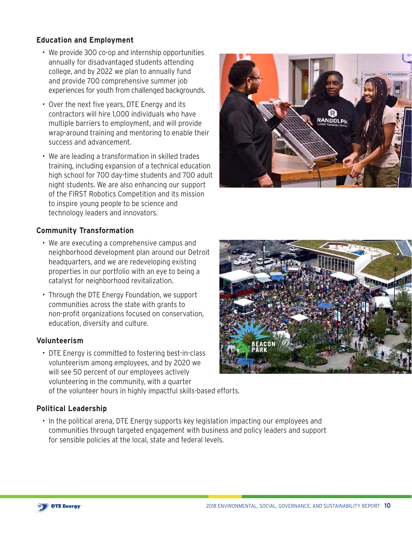## **Education and Employment**

- We provide 300 co-op and internship opportunities annually for disadvantaged students attending college, and by 2022 we plan to annually fund and provide 700 comprehensive summer job experiences for youth from challenged backgrounds.
- Over the next five years, DTE Energy and its contractors will hire 1,000 individuals who have multiple barriers to employment, and will provide wrap-around training and mentoring to enable their success and advancement.
- We are leading a transformation in skilled trades training, including expansion of a technical education high school for 700 day-time students and 700 adult night students. We are also enhancing our support of the FIRST Robotics Competition and its mission to inspire young people to be science and technology leaders and innovators.



## **Community Transformation**

- We are executing a comprehensive campus and neighborhood development plan around our Detroit headquarters, and we are redeveloping existing properties in our portfolio with an eye to being a catalyst for neighborhood revitalization.
- Through the DTE Energy Foundation, we support communities across the state with grants to non-profit organizations focused on conservation, education, diversity and culture.

#### **Volunteerism**

• DTE Energy is committed to fostering best-in-class volunteerism among employees, and by 2020 we will see 50 percent of our employees actively volunteering in the community, with a quarter of the volunteer hours in highly impactful skills-based efforts.

## **Political Leadership**

• In the political arena, DTE Energy supports key legislation impacting our employees and communities through targeted engagement with business and policy leaders and support for sensible policies at the local, state and federal levels.



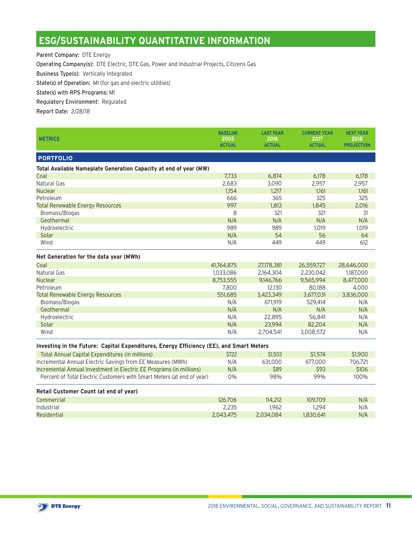## **ESG/SUSTAINABILITY QUANTITATIVE INFORMATION**

Parent Company: DTE Energy

Operating Company(s): DTE Electric, DTE Gas, Power and Industrial Projects, Citizens Gas

Business Type(s): Vertically Integrated

State(s) of Operation: MI (for gas and electric utilities)

State(s) with RPS Programs: MI

Regulatory Environment: Regulated

Report Date: 2/28/18

| <b>METRICS</b>                                                                          | <b>BASELINE</b>       | <b>LAST YEAR</b>      | <b>CURRENT YEAR</b><br>2017 | <b>NEXT YEAR</b>          |  |  |  |  |
|-----------------------------------------------------------------------------------------|-----------------------|-----------------------|-----------------------------|---------------------------|--|--|--|--|
|                                                                                         | 2005<br><b>ACTUAL</b> | 2016<br><b>ACTUAL</b> | <b>ACTUAL</b>               | 2018<br><b>PROJECTION</b> |  |  |  |  |
| <b>PORTFOLIO</b>                                                                        |                       |                       |                             |                           |  |  |  |  |
| Total Available Nameplate Generation Capacity at end of year (MW)                       |                       |                       |                             |                           |  |  |  |  |
| Coal                                                                                    | 7,733                 | 6,874                 | 6,178                       | 6,178                     |  |  |  |  |
| Natural Gas                                                                             | 2,683                 | 3,090                 | 2,957                       | 2,957                     |  |  |  |  |
| <b>Nuclear</b>                                                                          | 1,154                 | 1.217                 | 1.161                       | 1.161                     |  |  |  |  |
| Petroleum                                                                               | 666                   | 365                   | 325                         | 325                       |  |  |  |  |
| <b>Total Renewable Energy Resources</b>                                                 | 997                   | 1,813                 | 1,845                       | 2,016                     |  |  |  |  |
| Biomass/Biogas                                                                          | 8                     | 321                   | 321                         | 31                        |  |  |  |  |
| Geothermal                                                                              | N/A                   | N/A                   | N/A                         | N/A                       |  |  |  |  |
| Hydroelectric                                                                           | 989                   | 989                   | 1,019                       | 1,019                     |  |  |  |  |
| Solar                                                                                   | N/A                   | 54                    | 56                          | 64                        |  |  |  |  |
| Wind                                                                                    | N/A                   | 449                   | 449                         | 612                       |  |  |  |  |
| Net Generation for the data year (MWh)                                                  |                       |                       |                             |                           |  |  |  |  |
| Coal                                                                                    | 41,764,875            | 27,178,381            | 26,559,727                  | 28,646,000                |  |  |  |  |
| <b>Natural Gas</b>                                                                      | 1,033,086             | 2,164,304             | 2,230,042                   | 1,187,000                 |  |  |  |  |
| <b>Nuclear</b>                                                                          | 8,753,555             | 9,146,766             | 9,565,994                   | 8,477,000                 |  |  |  |  |
| Petroleum                                                                               | 7,800                 | 12,130                | 80,188                      | 4,000                     |  |  |  |  |
| <b>Total Renewable Energy Resources</b>                                                 | 551,685               | 3,423,349             | 3,677,031                   | 3,836,000                 |  |  |  |  |
| Biomass/Biogas                                                                          | N/A                   | 671,919               | 529,414                     | N/A                       |  |  |  |  |
| Geothermal                                                                              | N/A                   | N/A                   | N/A                         | N/A                       |  |  |  |  |
| Hydroelectric                                                                           | N/A                   | 22,895                | 56,841                      | N/A                       |  |  |  |  |
| Solar                                                                                   | N/A                   | 23,994                | 82,204                      | N/A                       |  |  |  |  |
| Wind                                                                                    | N/A                   | 2,704,541             | 3,008,572                   | N/A                       |  |  |  |  |
| Investing in the Future: Capital Expenditures, Energy Efficiency (EE), and Smart Meters |                       |                       |                             |                           |  |  |  |  |
| Total Annual Capital Expenditures (in millions)                                         | \$722                 | \$1,503               | \$1,574                     | \$1,900                   |  |  |  |  |
| Incremental Annual Electric Savings from EE Measures (MWh)                              | N/A                   | 631,000               | 677,000                     | 706,721                   |  |  |  |  |
| Incremental Annual Investment in Electric EE Programs (in millions)                     | N/A                   | \$89                  | \$93                        | \$106                     |  |  |  |  |
| Percent of Total Electric Customers with Smart Meters (at end of year)                  | 0%                    | 98%                   | 99%                         | 100%                      |  |  |  |  |
| Retail Customer Count (at end of year)                                                  |                       |                       |                             |                           |  |  |  |  |
| Commercial                                                                              | 126,706               | 114,212               | 109.709                     | N/A                       |  |  |  |  |
| Industrial                                                                              | 2,235                 | 1,962                 | 1,294                       | N/A                       |  |  |  |  |
| Residential                                                                             | 2,043,475             | 2,034,084             | 1,830,641                   | N/A                       |  |  |  |  |

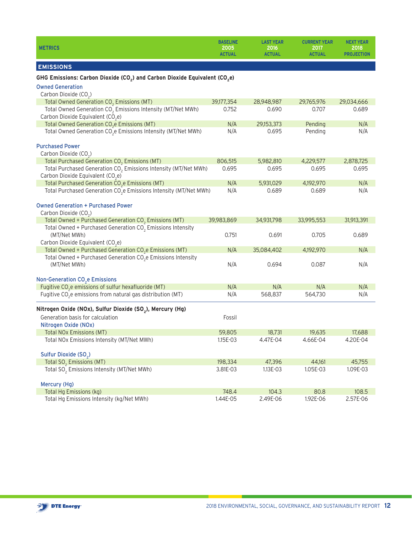| <b>METRICS</b>                                                                                                               | <b>BASELINE</b><br>2005<br><b>ACTUAL</b> | <b>LAST YEAR</b><br>2016<br><b>ACTUAL</b> | <b>CURRENT YEAR</b><br>2017<br><b>ACTUAL</b> | <b>NEXT YEAR</b><br>2018<br><b>PROJECTION</b> |
|------------------------------------------------------------------------------------------------------------------------------|------------------------------------------|-------------------------------------------|----------------------------------------------|-----------------------------------------------|
| <b>EMISSIONS</b>                                                                                                             |                                          |                                           |                                              |                                               |
| GHG Emissions: Carbon Dioxide (CO <sub>2</sub> ) and Carbon Dioxide Equivalent (CO <sub>2</sub> e)                           |                                          |                                           |                                              |                                               |
| <b>Owned Generation</b>                                                                                                      |                                          |                                           |                                              |                                               |
| Carbon Dioxide (CO <sub>2</sub> )                                                                                            |                                          |                                           |                                              |                                               |
| Total Owned Generation CO <sub>2</sub> Emissions (MT)                                                                        | 39,177,354                               | 28,948,987                                | 29,765,976                                   | 29,034,666                                    |
| Total Owned Generation CO <sub>2</sub> Emissions Intensity (MT/Net MWh)<br>Carbon Dioxide Equivalent (CO <sub>2</sub> e)     | 0.752                                    | 0.690                                     | 0.707                                        | 0.689                                         |
| Total Owned Generation CO <sub>2</sub> e Emissions (MT)                                                                      | N/A                                      | 29,153,373                                | Pending                                      | N/A                                           |
| Total Owned Generation CO <sub>2</sub> e Emissions Intensity (MT/Net MWh)                                                    | N/A                                      | 0.695                                     | Pending                                      | N/A                                           |
| <b>Purchased Power</b><br>Carbon Dioxide (CO <sub>2</sub> )                                                                  |                                          |                                           |                                              |                                               |
| Total Purchased Generation CO <sub>2</sub> Emissions (MT)                                                                    | 806,515                                  | 5,982,810                                 | 4,229,577                                    | 2,878,725                                     |
| Total Purchased Generation CO <sub>2</sub> Emissions Intensity (MT/Net MWh)<br>Carbon Dioxide Equivalent (CO <sub>2</sub> e) | 0.695                                    | 0.695                                     | 0.695                                        | 0.695                                         |
| Total Purchased Generation CO <sub>2</sub> e Emissions (MT)                                                                  | N/A                                      | 5,931,029                                 | 4,192,970                                    | N/A                                           |
| Total Purchased Generation CO <sub>2</sub> e Emissions Intensity (MT/Net MWh)                                                | N/A                                      | 0.689                                     | 0.689                                        | N/A                                           |
| <b>Owned Generation + Purchased Power</b><br>Carbon Dioxide (CO <sub>2</sub> )                                               |                                          |                                           |                                              |                                               |
| Total Owned + Purchased Generation $CO2$ Emissions (MT)                                                                      | 39,983,869                               | 34,931,798                                | 33,995,553                                   | 31,913,391                                    |
| Total Owned + Purchased Generation $CO2$ Emissions Intensity<br>(MT/Net MWh)                                                 | 0.751                                    | 0.691                                     | 0.705                                        | 0.689                                         |
| Carbon Dioxide Equivalent (CO <sub>2</sub> e)                                                                                |                                          |                                           |                                              |                                               |
| Total Owned + Purchased Generation CO <sub>2</sub> e Emissions (MT)                                                          | N/A                                      | 35,084,402                                | 4,192,970                                    | N/A                                           |
| Total Owned + Purchased Generation $CO_{2}e$ Emissions Intensity<br>(MT/Net MWh)                                             | N/A                                      | 0.694                                     | 0.087                                        | N/A                                           |
| Non-Generation CO <sub>2</sub> e Emissions                                                                                   |                                          |                                           |                                              |                                               |
| Fugitive $CO2e$ emissions of sulfur hexafluoride (MT)                                                                        | N/A                                      | N/A                                       | N/A                                          | N/A                                           |
| Fugitive CO <sub>2</sub> e emissions from natural gas distribution (MT)                                                      | N/A                                      | 568,837                                   | 564,730                                      | N/A                                           |
| Nitrogen Oxide (NOx), Sulfur Dioxide (SO <sub>2</sub> ), Mercury (Hg)                                                        |                                          |                                           |                                              |                                               |
| Generation basis for calculation                                                                                             | Fossil                                   |                                           |                                              |                                               |
| Nitrogen Oxide (NOx)                                                                                                         |                                          |                                           |                                              |                                               |
| <b>Total NOx Emissions (MT)</b>                                                                                              | 59,805                                   | 18,731                                    | 19,635                                       | 17,688                                        |
| Total NOx Emissions Intensity (MT/Net MWh)                                                                                   | 1.15E-03                                 | 4.47E-04                                  | 4.66E-04                                     | 4.20E-04                                      |
| Sulfur Dioxide (SO <sub>2</sub> )                                                                                            |                                          |                                           |                                              |                                               |
| Total SO <sub>2</sub> Emissions (MT)                                                                                         | 198,334                                  | 47,396                                    | 44,161                                       | 45,755                                        |
| Total SO <sub>2</sub> Emissions Intensity (MT/Net MWh)                                                                       | 3.81E-03                                 | 1.13E-03                                  | 1.05E-03                                     | 1.09E-03                                      |
| Mercury (Hg)                                                                                                                 |                                          |                                           |                                              |                                               |
| Total Hg Emissions (kg)                                                                                                      | 748.4                                    | 104.3                                     | 80.8                                         | 108.5                                         |
| Total Hg Emissions Intensity (kg/Net MWh)                                                                                    | 1.44E-05                                 | 2.49E-06                                  | 1.92E-06                                     | 2.57E-06                                      |